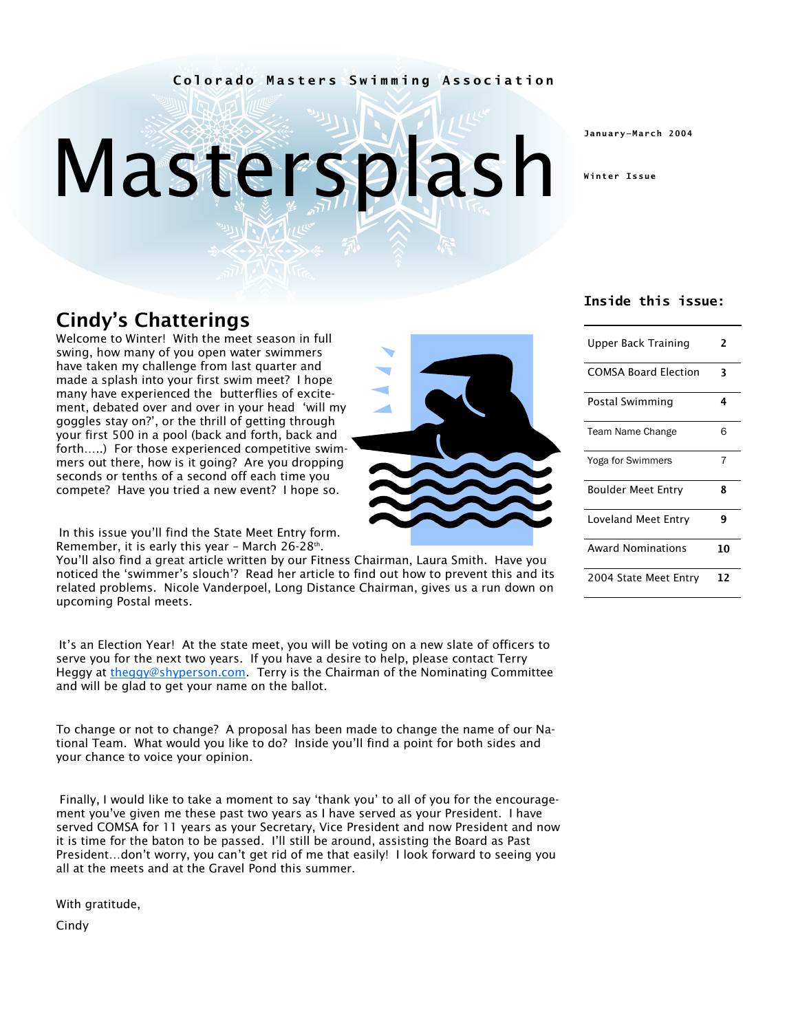#### **Colorado Masters Swimming Association**

# Mastersplash

**January—March 2004** 

**Winter Issue** 

## Cindy's Chatterings

Welcome to Winter! With the meet season in full swing, how many of you open water swimmers have taken my challenge from last quarter and made a splash into your first swim meet? I hope many have experienced the butterflies of excitement, debated over and over in your head 'will my goggles stay on?', or the thrill of getting through your first 500 in a pool (back and forth, back and forth…..) For those experienced competitive swimmers out there, how is it going? Are you dropping seconds or tenths of a second off each time you compete? Have you tried a new event? I hope so.

In this issue you'll find the State Meet Entry form. Remember, it is early this year - March  $26-28$ <sup>th</sup>.

You'll also find a great article written by our Fitness Chairman, Laura Smith. Have you noticed the 'swimmer's slouch'? Read her article to find out how to prevent this and its related problems. Nicole Vanderpoel, Long Distance Chairman, gives us a run down on upcoming Postal meets.

It's an Election Year! At the state meet, you will be voting on a new slate of officers to serve you for the next two years. If you have a desire to help, please contact Terry Heggy at theggy@shyperson.com. Terry is the Chairman of the Nominating Committee and will be glad to get your name on the ballot.

To change or not to change? A proposal has been made to change the name of our National Team. What would you like to do? Inside you'll find a point for both sides and your chance to voice your opinion.

Finally, I would like to take a moment to say 'thank you' to all of you for the encouragement you've given me these past two years as I have served as your President. I have served COMSA for 11 years as your Secretary, Vice President and now President and now it is time for the baton to be passed. I'll still be around, assisting the Board as Past President…don't worry, you can't get rid of me that easily! I look forward to seeing you all at the meets and at the Gravel Pond this summer.

With gratitude,

Cindy



| COMSA Board Election | 3 |  |
|----------------------|---|--|
| Postal Swimming      | 4 |  |
| Team Name Change     | 6 |  |
| Yoga for Swimmers    | 7 |  |
| Boulder Meet Entry   | 8 |  |
| Loveland Meet Entry  |   |  |

**Inside this issue:** 

2004 State Meet Entry **12** 

Award Nominations **10**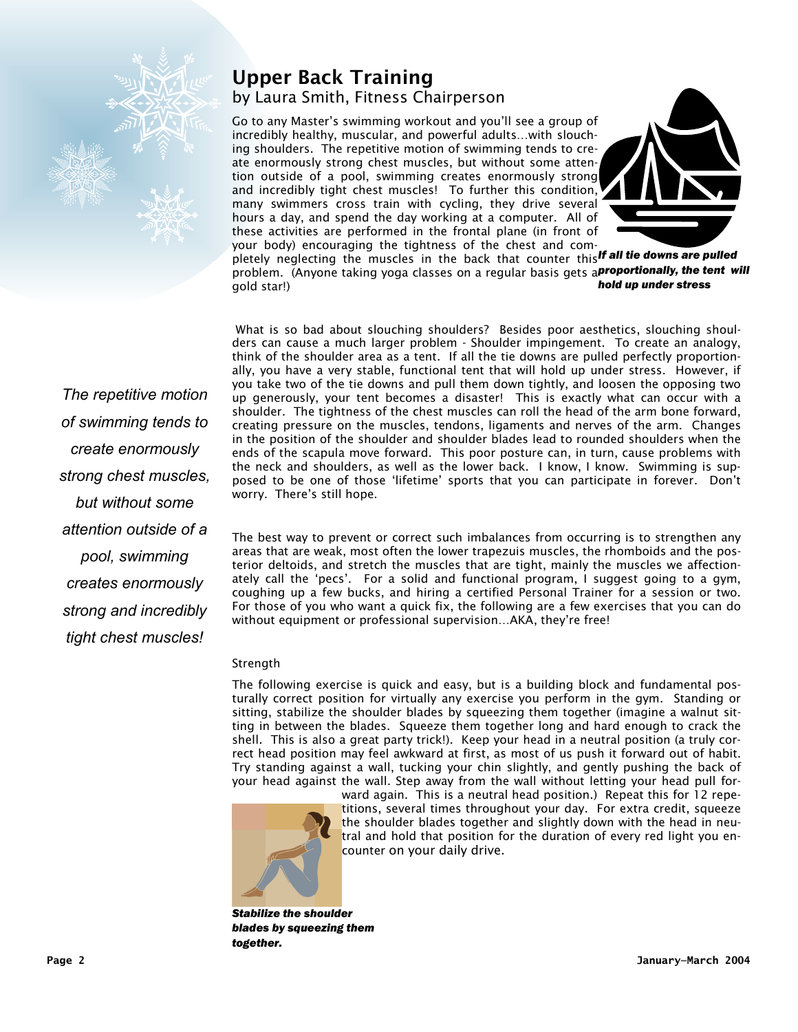

#### by Laura Smith, Fitness Chairperson Upper Back Training

Go to any Master's swimming workout and you'll see a group of incredibly healthy, muscular, and powerful adults…with slouching shoulders. The repetitive motion of swimming tends to create enormously strong chest muscles, but without some attention outside of a pool, swimming creates enormously strong and incredibly tight chest muscles! To further this condition, many swimmers cross train with cycling, they drive several hours a day, and spend the day working at a computer. All of these activities are performed in the frontal plane (in front of your body) encouraging the tightness of the chest and com-



pletely neglecting the muscles in the back that counter this *If all tie downs are pulled*  problem. (Anyone taking yoga classes on a regular basis gets a *proportionally, the tent will*  gold star!) *hold up under stress* 

 What is so bad about slouching shoulders? Besides poor aesthetics, slouching shoulders can cause a much larger problem - Shoulder impingement. To create an analogy, think of the shoulder area as a tent. If all the tie downs are pulled perfectly proportionally, you have a very stable, functional tent that will hold up under stress. However, if you take two of the tie downs and pull them down tightly, and loosen the opposing two up generously, your tent becomes a disaster! This is exactly what can occur with a shoulder. The tightness of the chest muscles can roll the head of the arm bone forward, creating pressure on the muscles, tendons, ligaments and nerves of the arm. Changes in the position of the shoulder and shoulder blades lead to rounded shoulders when the ends of the scapula move forward. This poor posture can, in turn, cause problems with the neck and shoulders, as well as the lower back. I know, I know. Swimming is supposed to be one of those 'lifetime' sports that you can participate in forever. Don't worry. There's still hope.

The best way to prevent or correct such imbalances from occurring is to strengthen any areas that are weak, most often the lower trapezuis muscles, the rhomboids and the posterior deltoids, and stretch the muscles that are tight, mainly the muscles we affectionately call the 'pecs'. For a solid and functional program, I suggest going to a gym, coughing up a few bucks, and hiring a certified Personal Trainer for a session or two. For those of you who want a quick fix, the following are a few exercises that you can do without equipment or professional supervision…AKA, they're free!

#### Strength

The following exercise is quick and easy, but is a building block and fundamental posturally correct position for virtually any exercise you perform in the gym. Standing or sitting, stabilize the shoulder blades by squeezing them together (imagine a walnut sitting in between the blades. Squeeze them together long and hard enough to crack the shell. This is also a great party trick!). Keep your head in a neutral position (a truly correct head position may feel awkward at first, as most of us push it forward out of habit. Try standing against a wall, tucking your chin slightly, and gently pushing the back of your head against the wall. Step away from the wall without letting your head pull for-



ward again. This is a neutral head position.) Repeat this for 12 repetitions, several times throughout your day. For extra credit, squeeze the shoulder blades together and slightly down with the head in neutral and hold that position for the duration of every red light you encounter on your daily drive.

*Stabilize the shoulder blades by squeezing them together.* 

*The repetitive motion of swimming tends to create enormously strong chest muscles, but without some attention outside of a pool, swimming creates enormously strong and incredibly tight chest muscles!*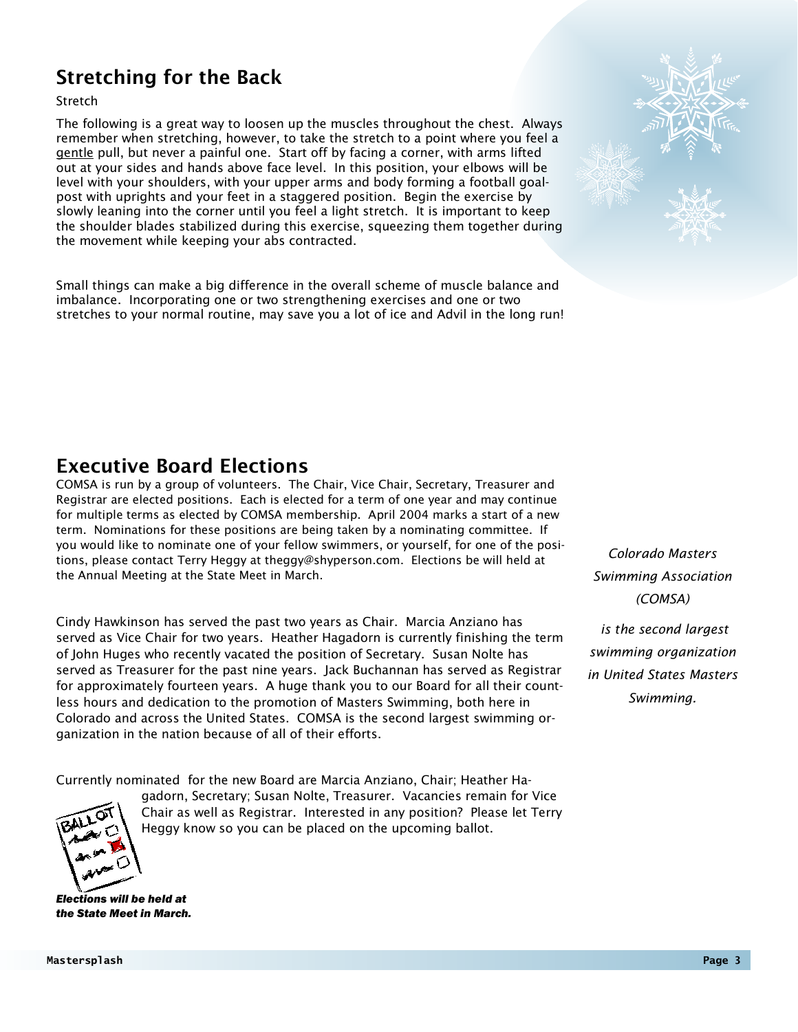## Stretching for the Back

Stretch

The following is a great way to loosen up the muscles throughout the chest. Always remember when stretching, however, to take the stretch to a point where you feel a gentle pull, but never a painful one. Start off by facing a corner, with arms lifted out at your sides and hands above face level. In this position, your elbows will be level with your shoulders, with your upper arms and body forming a football goalpost with uprights and your feet in a staggered position. Begin the exercise by slowly leaning into the corner until you feel a light stretch. It is important to keep the shoulder blades stabilized during this exercise, squeezing them together during the movement while keeping your abs contracted.

Small things can make a big difference in the overall scheme of muscle balance and imbalance. Incorporating one or two strengthening exercises and one or two stretches to your normal routine, may save you a lot of ice and Advil in the long run!





## Executive Board Elections

COMSA is run by a group of volunteers. The Chair, Vice Chair, Secretary, Treasurer and Registrar are elected positions. Each is elected for a term of one year and may continue for multiple terms as elected by COMSA membership. April 2004 marks a start of a new term. Nominations for these positions are being taken by a nominating committee. If you would like to nominate one of your fellow swimmers, or yourself, for one of the positions, please contact Terry Heggy at theggy@shyperson.com. Elections be will held at the Annual Meeting at the State Meet in March.

Cindy Hawkinson has served the past two years as Chair. Marcia Anziano has served as Vice Chair for two years. Heather Hagadorn is currently finishing the term of John Huges who recently vacated the position of Secretary. Susan Nolte has served as Treasurer for the past nine years. Jack Buchannan has served as Registrar for approximately fourteen years. A huge thank you to our Board for all their countless hours and dedication to the promotion of Masters Swimming, both here in Colorado and across the United States. COMSA is the second largest swimming organization in the nation because of all of their efforts.

*Colorado Masters Swimming Association (COMSA)* 

 *is the second largest swimming organization in United States Masters Swimming.* 

Currently nominated for the new Board are Marcia Anziano, Chair; Heather Ha-



gadorn, Secretary; Susan Nolte, Treasurer. Vacancies remain for Vice Chair as well as Registrar. Interested in any position? Please let Terry Heggy know so you can be placed on the upcoming ballot.

*Elections will be held at the State Meet in March.*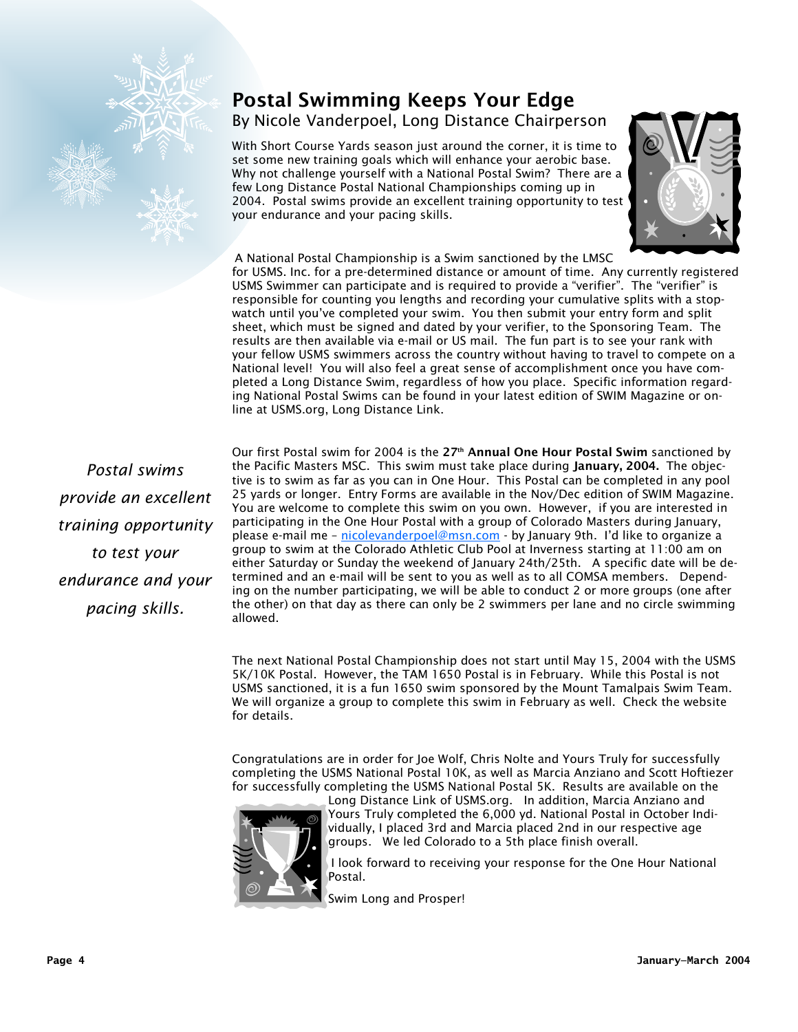

# Postal Swimming Keeps Your Edge

By Nicole Vanderpoel, Long Distance Chairperson

With Short Course Yards season just around the corner, it is time to set some new training goals which will enhance your aerobic base. Why not challenge yourself with a National Postal Swim? There are a few Long Distance Postal National Championships coming up in 2004. Postal swims provide an excellent training opportunity to test your endurance and your pacing skills.



A National Postal Championship is a Swim sanctioned by the LMSC for USMS. Inc. for a pre-determined distance or amount of time. Any currently registered USMS Swimmer can participate and is required to provide a "verifier". The "verifier" is responsible for counting you lengths and recording your cumulative splits with a stopwatch until you've completed your swim. You then submit your entry form and split sheet, which must be signed and dated by your verifier, to the Sponsoring Team. The results are then available via e-mail or US mail. The fun part is to see your rank with your fellow USMS swimmers across the country without having to travel to compete on a National level! You will also feel a great sense of accomplishment once you have completed a Long Distance Swim, regardless of how you place. Specific information regarding National Postal Swims can be found in your latest edition of SWIM Magazine or online at USMS.org, Long Distance Link.

*Postal swims provide an excellent training opportunity to test your endurance and your pacing skills.* 

Our first Postal swim for 2004 is the 27<sup>th</sup> Annual One Hour Postal Swim sanctioned by the Pacific Masters MSC. This swim must take place during January, 2004. The objective is to swim as far as you can in One Hour. This Postal can be completed in any pool 25 yards or longer. Entry Forms are available in the Nov/Dec edition of SWIM Magazine. You are welcome to complete this swim on you own. However, if you are interested in participating in the One Hour Postal with a group of Colorado Masters during January, please e-mail me - nicolevanderpoel@msn.com - by January 9th. I'd like to organize a group to swim at the Colorado Athletic Club Pool at Inverness starting at 11:00 am on either Saturday or Sunday the weekend of January 24th/25th. A specific date will be determined and an e-mail will be sent to you as well as to all COMSA members. Depending on the number participating, we will be able to conduct 2 or more groups (one after the other) on that day as there can only be 2 swimmers per lane and no circle swimming allowed.

The next National Postal Championship does not start until May 15, 2004 with the USMS 5K/10K Postal. However, the TAM 1650 Postal is in February. While this Postal is not USMS sanctioned, it is a fun 1650 swim sponsored by the Mount Tamalpais Swim Team. We will organize a group to complete this swim in February as well. Check the website for details.

Congratulations are in order for Joe Wolf, Chris Nolte and Yours Truly for successfully completing the USMS National Postal 10K, as well as Marcia Anziano and Scott Hoftiezer for successfully completing the USMS National Postal 5K. Results are available on the



Long Distance Link of USMS.org. In addition, Marcia Anziano and Yours Truly completed the 6,000 yd. National Postal in October Individually, I placed 3rd and Marcia placed 2nd in our respective age groups. We led Colorado to a 5th place finish overall.

I look forward to receiving your response for the One Hour National Postal.

Swim Long and Prosper!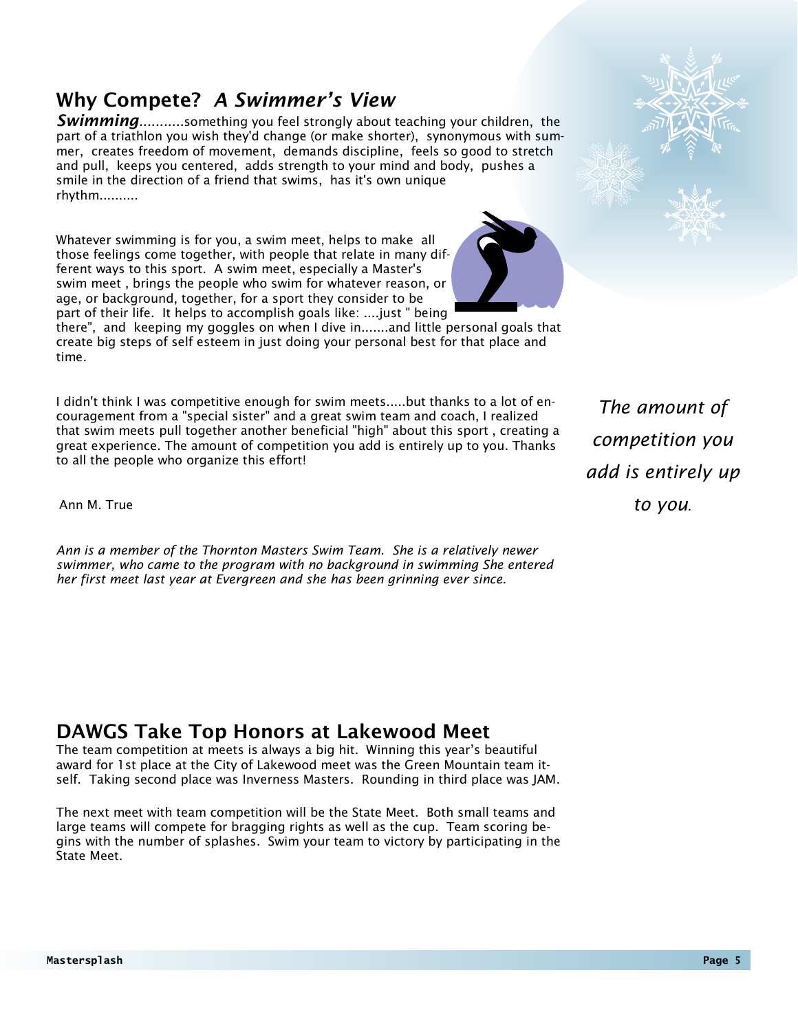# Why Compete? *A Swimmer's View*

*Swimming...........*something you feel strongly about teaching your children, the part of a triathlon you wish they'd change (or make shorter), synonymous with summer, creates freedom of movement, demands discipline, feels so good to stretch and pull, keeps you centered, adds strength to your mind and body, pushes a smile in the direction of a friend that swims, has it's own unique rhythm..........

Whatever swimming is for you, a swim meet, helps to make all those feelings come together, with people that relate in many different ways to this sport. A swim meet, especially a Master's swim meet , brings the people who swim for whatever reason, or age, or background, together, for a sport they consider to be part of their life. It helps to accomplish goals like: ....just " being



there", and keeping my goggles on when I dive in.......and little personal goals that create big steps of self esteem in just doing your personal best for that place and time.

I didn't think I was competitive enough for swim meets.....but thanks to a lot of encouragement from a "special sister" and a great swim team and coach, I realized that swim meets pull together another beneficial "high" about this sport , creating a great experience. The amount of competition you add is entirely up to you. Thanks to all the people who organize this effort!

*The amount of competition you add is entirely up to you.* 

Ann M. True

*Ann is a member of the Thornton Masters Swim Team. She is a relatively newer swimmer, who came to the program with no background in swimming She entered her first meet last year at Evergreen and she has been grinning ever since.* 

### DAWGS Take Top Honors at Lakewood Meet

The team competition at meets is always a big hit. Winning this year's beautiful award for 1st place at the City of Lakewood meet was the Green Mountain team itself. Taking second place was Inverness Masters. Rounding in third place was JAM.

The next meet with team competition will be the State Meet. Both small teams and large teams will compete for bragging rights as well as the cup. Team scoring begins with the number of splashes. Swim your team to victory by participating in the State Meet.

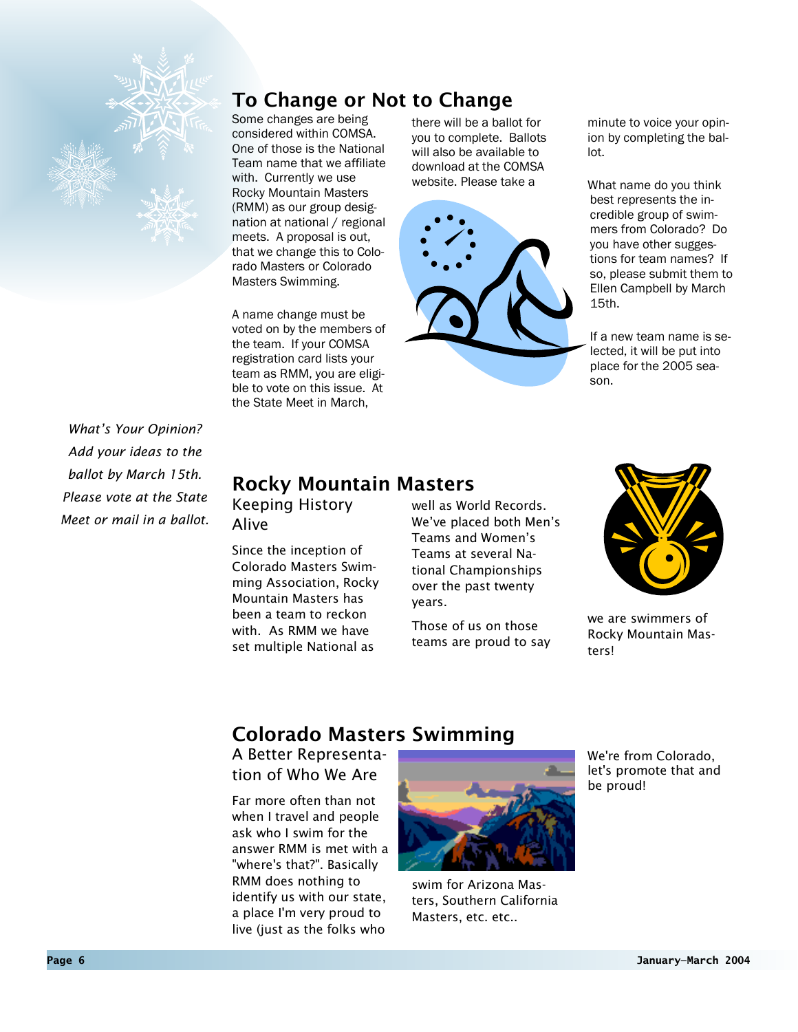

*What's Your Opinion? Add your ideas to the ballot by March 15th. Please vote at the State Meet or mail in a ballot.* 

## To Change or Not to Change

Some changes are being considered within COMSA. One of those is the National Team name that we affiliate with. Currently we use Rocky Mountain Masters (RMM) as our group designation at national / regional meets. A proposal is out, that we change this to Colorado Masters or Colorado Masters Swimming.

A name change must be voted on by the members of the team. If your COMSA registration card lists your team as RMM, you are eligible to vote on this issue. At the State Meet in March,

there will be a ballot for you to complete. Ballots will also be available to download at the COMSA website. Please take a



minute to voice your opinion by completing the ballot.

What name do you think best represents the incredible group of swimmers from Colorado? Do you have other suggestions for team names? If so, please submit them to Ellen Campbell by March 15th.

If a new team name is selected, it will be put into place for the 2005 season.

## Rocky Mountain Masters

Keeping History Alive

Since the inception of Colorado Masters Swimming Association, Rocky Mountain Masters has been a team to reckon with. As RMM we have set multiple National as

well as World Records. We've placed both Men's Teams and Women's Teams at several National Championships over the past twenty years.

Those of us on those teams are proud to say



we are swimmers of Rocky Mountain Masters!

## Colorado Masters Swimming

A Better Representation of Who We Are

Far more often than not when I travel and people ask who I swim for the answer RMM is met with a "where's that?". Basically RMM does nothing to identify us with our state, a place I'm very proud to live (just as the folks who



swim for Arizona Masters, Southern California Masters, etc. etc..

We're from Colorado, let's promote that and be proud!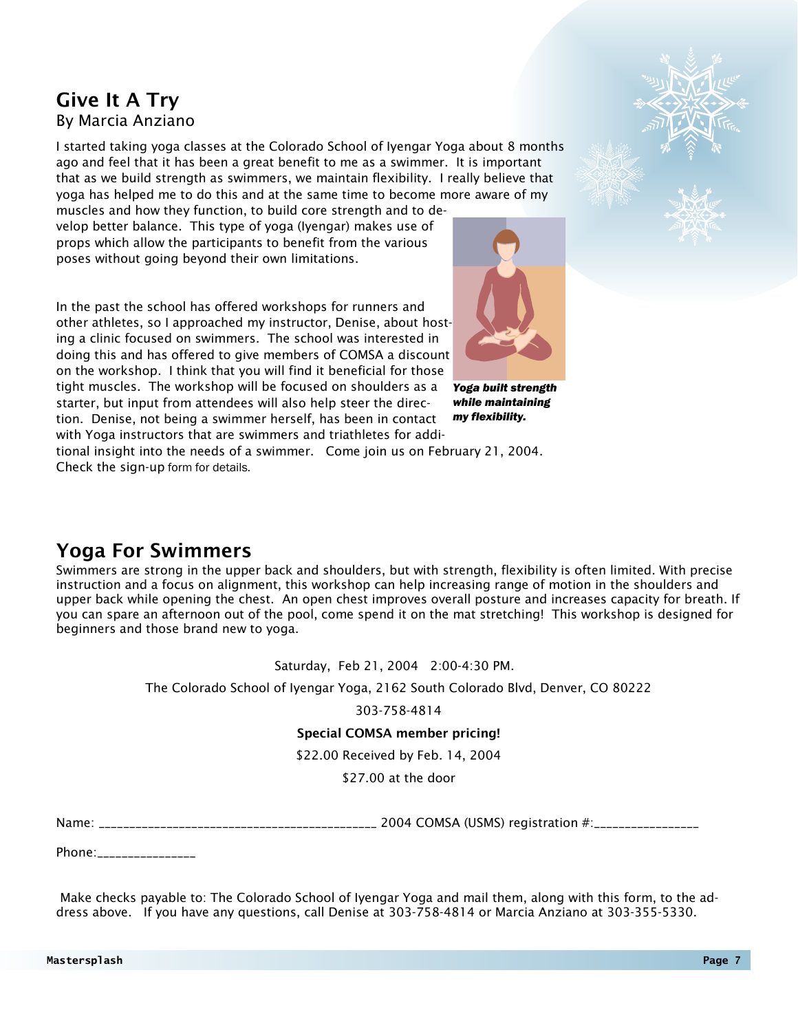#### By Marcia Anziano Give It A Try

I started taking yoga classes at the Colorado School of Iyengar Yoga about 8 months ago and feel that it has been a great benefit to me as a swimmer. It is important that as we build strength as swimmers, we maintain flexibility. I really believe that yoga has helped me to do this and at the same time to become more aware of my

muscles and how they function, to build core strength and to develop better balance. This type of yoga (Iyengar) makes use of props which allow the participants to benefit from the various poses without going beyond their own limitations.

In the past the school has offered workshops for runners and other athletes, so I approached my instructor, Denise, about hosting a clinic focused on swimmers. The school was interested in doing this and has offered to give members of COMSA a discount on the workshop. I think that you will find it beneficial for those tight muscles. The workshop will be focused on shoulders as a starter, but input from attendees will also help steer the direction. Denise, not being a swimmer herself, has been in contact

with Yoga instructors that are swimmers and triathletes for addi-

*Yoga built strength while maintaining my flexibility.* 

tional insight into the needs of a swimmer. Come join us on February 21, 2004. Check the sign-up form for details.

### Yoga For Swimmers

Swimmers are strong in the upper back and shoulders, but with strength, flexibility is often limited. With precise instruction and a focus on alignment, this workshop can help increasing range of motion in the shoulders and upper back while opening the chest. An open chest improves overall posture and increases capacity for breath. If you can spare an afternoon out of the pool, come spend it on the mat stretching! This workshop is designed for beginners and those brand new to yoga.

Saturday, Feb 21, 2004 2:00-4:30 PM.

The Colorado School of Iyengar Yoga, 2162 South Colorado Blvd, Denver, CO 80222

303-758-4814

#### Special COMSA member pricing!

\$22.00 Received by Feb. 14, 2004

\$27.00 at the door

Name: \_\_\_\_\_\_\_\_\_\_\_\_\_\_\_\_\_\_\_\_\_\_\_\_\_\_\_\_\_\_\_\_\_\_\_\_\_\_\_\_\_\_\_\_\_ 2004 COMSA (USMS) registration #:\_\_\_\_\_\_\_\_\_\_\_\_\_\_\_\_\_

Phone:\_\_\_\_\_\_\_\_\_\_\_\_\_\_\_\_

 Make checks payable to: The Colorado School of Iyengar Yoga and mail them, along with this form, to the address above. If you have any questions, call Denise at 303-758-4814 or Marcia Anziano at 303-355-5330.

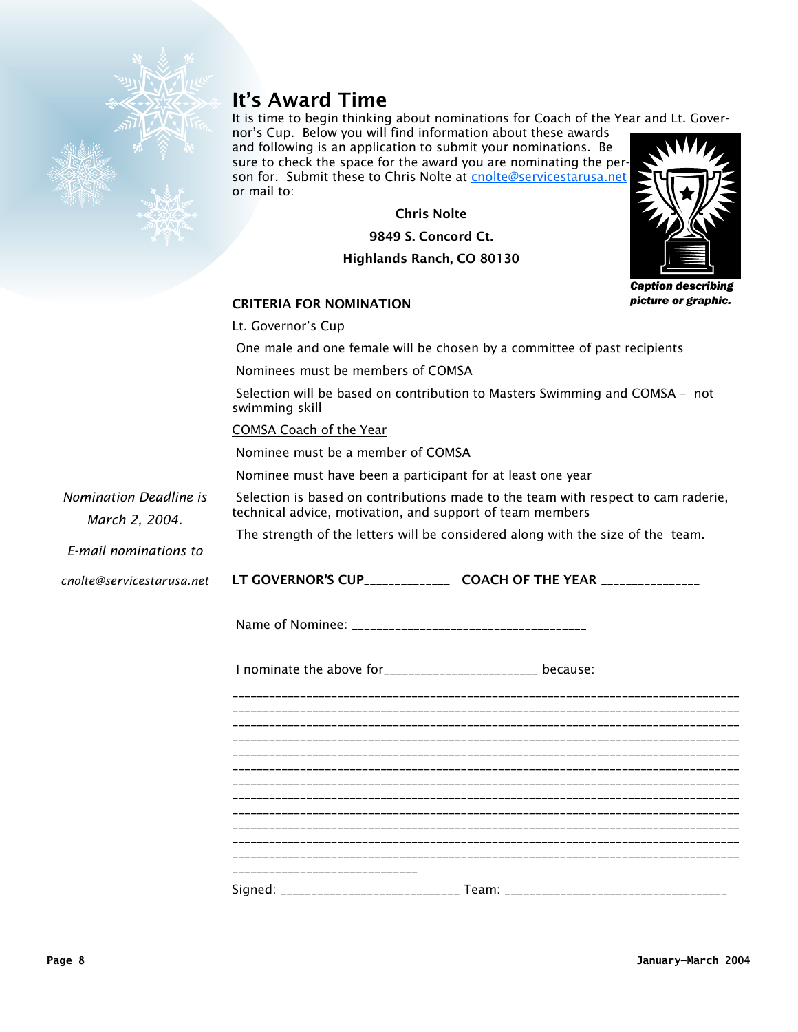

## It's Award Time

It is time to begin thinking about nominations for Coach of the Year and Lt. Gover-

nor's Cup. Below you will find information about these awards and following is an application to submit your nominations. Be sure to check the space for the award you are nominating the person for. Submit these to Chris Nolte at cnolte@servicestarusa.net or mail to:

Chris Nolte

9849 S. Concord Ct.

Highlands Ranch, CO 80130



*Caption describing picture or graphic.* 

#### CRITERIA FOR NOMINATION

#### Lt. Governor's Cup

One male and one female will be chosen by a committee of past recipients

Nominees must be members of COMSA

 Selection will be based on contribution to Masters Swimming and COMSA – not swimming skill

COMSA Coach of the Year

Nominee must be a member of COMSA

Nominee must have been a participant for at least one year

*Nomination Deadline is March 2, 2004.* 

 Selection is based on contributions made to the team with respect to cam raderie, technical advice, motivation, and support of team members

The strength of the letters will be considered along with the size of the team.

*E-mail nominations to* 

LT GOVERNOR'S CUP\_\_\_\_\_\_\_\_\_\_\_\_\_\_\_\_\_\_ COACH OF THE YEAR \_\_\_\_\_\_\_\_\_\_\_\_\_\_\_\_\_\_\_\_\_\_\_\_\_\_ *cnolte@servicestarusa.net* 

Name of Nominee: \_\_\_\_\_\_\_\_\_\_\_\_\_\_\_\_\_\_\_\_\_\_\_\_\_\_\_\_\_\_\_\_\_\_\_\_\_\_

I nominate the above for\_\_\_\_\_\_\_\_\_\_\_\_\_\_\_\_\_\_\_\_\_\_\_\_\_ because:

\_\_\_\_\_\_\_\_\_\_\_\_\_\_\_\_\_\_\_\_\_\_\_\_\_\_\_\_\_\_\_\_\_\_\_\_\_\_\_\_\_\_\_\_\_\_\_\_\_\_\_\_\_\_\_\_\_\_\_\_\_\_\_\_\_\_\_\_\_\_\_\_\_\_\_\_\_\_\_\_\_\_ \_\_\_\_\_\_\_\_\_\_\_\_\_\_\_\_\_\_\_\_\_\_\_\_\_\_\_\_\_\_\_\_\_\_\_\_\_\_\_\_\_\_\_\_\_\_\_\_\_\_\_\_\_\_\_\_\_\_\_\_\_\_\_\_\_\_\_\_\_\_\_\_\_\_\_\_\_\_\_\_\_\_ \_\_\_\_\_\_\_\_\_\_\_\_\_\_\_\_\_\_\_\_\_\_\_\_\_\_\_\_\_\_\_\_\_\_\_\_\_\_\_\_\_\_\_\_\_\_\_\_\_\_\_\_\_\_\_\_\_\_\_\_\_\_\_\_\_\_\_\_\_\_\_\_\_\_\_\_\_\_\_\_\_\_ \_\_\_\_\_\_\_\_\_\_\_\_\_\_\_\_\_\_\_\_\_\_\_\_\_\_\_\_\_\_\_\_\_\_\_\_\_\_\_\_\_\_\_\_\_\_\_\_\_\_\_\_\_\_\_\_\_\_\_\_\_\_\_\_\_\_\_\_\_\_\_\_\_\_\_\_\_\_\_\_\_\_ \_\_\_\_\_\_\_\_\_\_\_\_\_\_\_\_\_\_\_\_\_\_\_\_\_\_\_\_\_\_\_\_\_\_\_\_\_\_\_\_\_\_\_\_\_\_\_\_\_\_\_\_\_\_\_\_\_\_\_\_\_\_\_\_\_\_\_\_\_\_\_\_\_\_\_\_\_\_\_\_\_\_ \_\_\_\_\_\_\_\_\_\_\_\_\_\_\_\_\_\_\_\_\_\_\_\_\_\_\_\_\_\_\_\_\_\_\_\_\_\_\_\_\_\_\_\_\_\_\_\_\_\_\_\_\_\_\_\_\_\_\_\_\_\_\_\_\_\_\_\_\_\_\_\_\_\_\_\_\_\_\_\_\_\_ \_\_\_\_\_\_\_\_\_\_\_\_\_\_\_\_\_\_\_\_\_\_\_\_\_\_\_\_\_\_\_\_\_\_\_\_\_\_\_\_\_\_\_\_\_\_\_\_\_\_\_\_\_\_\_\_\_\_\_\_\_\_\_\_\_\_\_\_\_\_\_\_\_\_\_\_\_\_\_\_\_\_ \_\_\_\_\_\_\_\_\_\_\_\_\_\_\_\_\_\_\_\_\_\_\_\_\_\_\_\_\_\_\_\_\_\_\_\_\_\_\_\_\_\_\_\_\_\_\_\_\_\_\_\_\_\_\_\_\_\_\_\_\_\_\_\_\_\_\_\_\_\_\_\_\_\_\_\_\_\_\_\_\_\_ \_\_\_\_\_\_\_\_\_\_\_\_\_\_\_\_\_\_\_\_\_\_\_\_\_\_\_\_\_\_\_\_\_\_\_\_\_\_\_\_\_\_\_\_\_\_\_\_\_\_\_\_\_\_\_\_\_\_\_\_\_\_\_\_\_\_\_\_\_\_\_\_\_\_\_\_\_\_\_\_\_\_ \_\_\_\_\_\_\_\_\_\_\_\_\_\_\_\_\_\_\_\_\_\_\_\_\_\_\_\_\_\_\_\_\_\_\_\_\_\_\_\_\_\_\_\_\_\_\_\_\_\_\_\_\_\_\_\_\_\_\_\_\_\_\_\_\_\_\_\_\_\_\_\_\_\_\_\_\_\_\_\_\_\_ \_\_\_\_\_\_\_\_\_\_\_\_\_\_\_\_\_\_\_\_\_\_\_\_\_\_\_\_\_\_\_\_\_\_\_\_\_\_\_\_\_\_\_\_\_\_\_\_\_\_\_\_\_\_\_\_\_\_\_\_\_\_\_\_\_\_\_\_\_\_\_\_\_\_\_\_\_\_\_\_\_\_ \_\_\_\_\_\_\_\_\_\_\_\_\_\_\_\_\_\_\_\_\_\_\_\_\_\_\_\_\_\_\_\_\_\_\_\_\_\_\_\_\_\_\_\_\_\_\_\_\_\_\_\_\_\_\_\_\_\_\_\_\_\_\_\_\_\_\_\_\_\_\_\_\_\_\_\_\_\_\_\_\_\_ \_\_\_\_\_\_\_\_\_\_\_\_\_\_\_\_\_\_\_\_\_\_\_\_\_\_\_\_\_\_ Signed: \_\_\_\_\_\_\_\_\_\_\_\_\_\_\_\_\_\_\_\_\_\_\_\_\_\_\_\_\_ Team: \_\_\_\_\_\_\_\_\_\_\_\_\_\_\_\_\_\_\_\_\_\_\_\_\_\_\_\_\_\_\_\_\_\_\_\_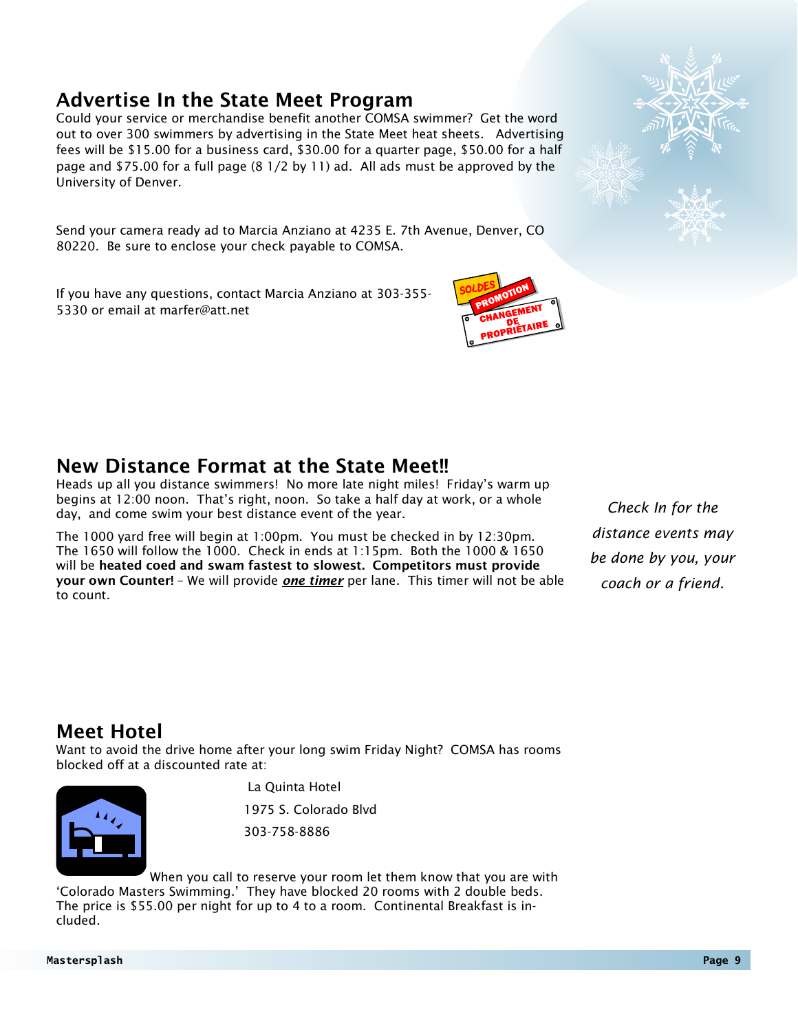#### Advertise In the State Meet Program

Could your service or merchandise benefit another COMSA swimmer? Get the word out to over 300 swimmers by advertising in the State Meet heat sheets. Advertising fees will be \$15.00 for a business card, \$30.00 for a quarter page, \$50.00 for a half page and \$75.00 for a full page (8 1/2 by 11) ad. All ads must be approved by the University of Denver.

Send your camera ready ad to Marcia Anziano at 4235 E. 7th Avenue, Denver, CO 80220. Be sure to enclose your check payable to COMSA.

If you have any questions, contact Marcia Anziano at 303-355- 5330 or email at marfer@att.net

#### New Distance Format at the State Meet!!

Heads up all you distance swimmers! No more late night miles! Friday's warm up begins at 12:00 noon. That's right, noon. So take a half day at work, or a whole day, and come swim your best distance event of the year.

The 1000 yard free will begin at 1:00pm. You must be checked in by 12:30pm. The 1650 will follow the 1000. Check in ends at 1:15pm. Both the 1000 & 1650 will be heated coed and swam fastest to slowest. Competitors must provide your own Counter! – We will provide *one timer* per lane. This timer will not be able to count.

*Check In for the distance events may be done by you, your coach or a friend.*

### Meet Hotel

Want to avoid the drive home after your long swim Friday Night? COMSA has rooms blocked off at a discounted rate at:

La Quinta Hotel

1975 S. Colorado Blvd

303-758-8886

 When you call to reserve your room let them know that you are with 'Colorado Masters Swimming.' They have blocked 20 rooms with 2 double beds. The price is \$55.00 per night for up to 4 to a room. Continental Breakfast is included.



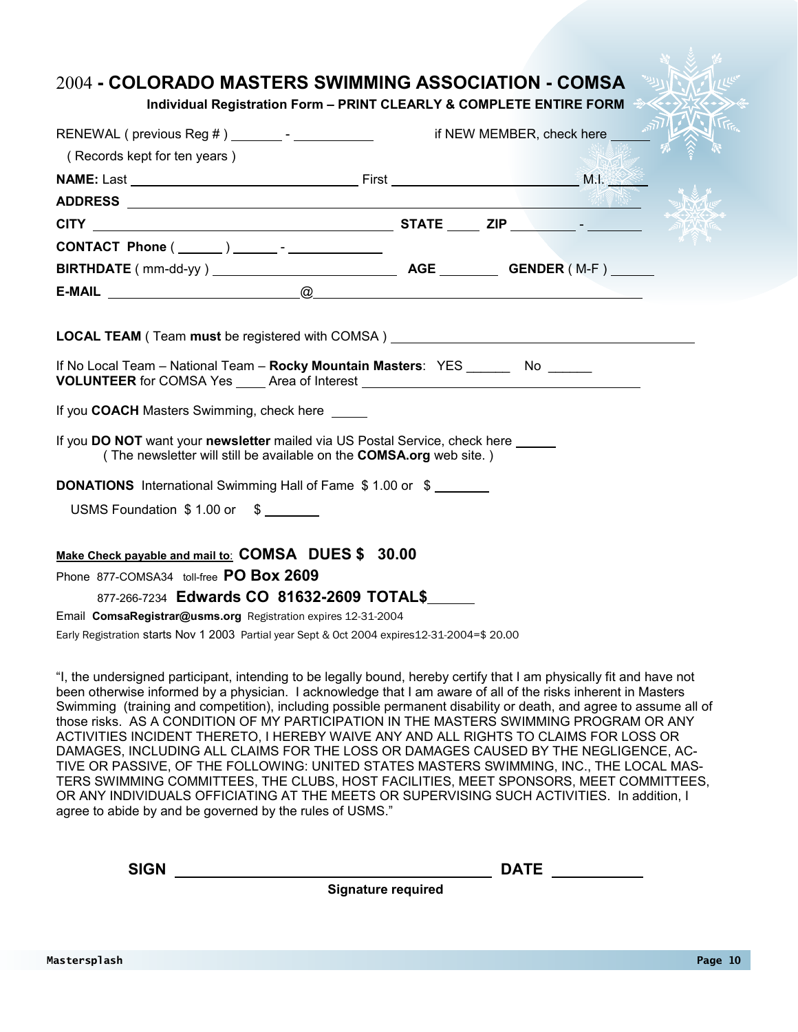#### 2004 **- COLORADO MASTERS SWIMMING ASSOCIATION - COMSA**

#### **Individual Registration Form – PRINT CLEARLY & COMPLETE ENTIRE FORM**

| RENEWAL ( previous Reg # ) ________ - ____________                                                                                                                          |  | if NEW MEMBER, check here <b>AND AND A SERVER</b> |
|-----------------------------------------------------------------------------------------------------------------------------------------------------------------------------|--|---------------------------------------------------|
| (Records kept for ten years)                                                                                                                                                |  |                                                   |
|                                                                                                                                                                             |  |                                                   |
|                                                                                                                                                                             |  |                                                   |
|                                                                                                                                                                             |  |                                                   |
| CONTACT Phone ( ______ ) _______ - _____________                                                                                                                            |  |                                                   |
|                                                                                                                                                                             |  |                                                   |
|                                                                                                                                                                             |  |                                                   |
|                                                                                                                                                                             |  |                                                   |
| <b>LOCAL TEAM</b> ( Team <b>must</b> be registered with COMSA )                                                                                                             |  |                                                   |
| If No Local Team - National Team - Rocky Mountain Masters: YES ________ No ______<br><b>VOLUNTEER</b> for COMSA Yes _____ Area of Interest ________________________________ |  |                                                   |
| If you COACH Masters Swimming, check here                                                                                                                                   |  |                                                   |
| If you DO NOT want your newsletter mailed via US Postal Service, check here<br>(The newsletter will still be available on the <b>COMSA.org</b> web site.)                   |  |                                                   |
| <b>DONATIONS</b> International Swimming Hall of Fame \$1.00 or \$                                                                                                           |  |                                                   |
| USMS Foundation \$1.00 or \$                                                                                                                                                |  |                                                   |
| Make Check payable and mail to: COMSA DUES \$ 30.00                                                                                                                         |  |                                                   |
| Phone 877-COMSA34 toll-free PO Box 2609                                                                                                                                     |  |                                                   |
| 877-266-7234 Edwards CO 81632-2609 TOTAL\$                                                                                                                                  |  |                                                   |
| Email ComsaRegistrar@usms.org Registration expires 12-31-2004                                                                                                               |  |                                                   |
| Early Registration starts Nov 1 2003 Partial year Sept & Oct 2004 expires12-31-2004=\$ 20.00                                                                                |  |                                                   |

"I, the undersigned participant, intending to be legally bound, hereby certify that I am physically fit and have not been otherwise informed by a physician. I acknowledge that I am aware of all of the risks inherent in Masters Swimming (training and competition), including possible permanent disability or death, and agree to assume all of those risks. AS A CONDITION OF MY PARTICIPATION IN THE MASTERS SWIMMING PROGRAM OR ANY ACTIVITIES INCIDENT THERETO, I HEREBY WAIVE ANY AND ALL RIGHTS TO CLAIMS FOR LOSS OR DAMAGES, INCLUDING ALL CLAIMS FOR THE LOSS OR DAMAGES CAUSED BY THE NEGLIGENCE, AC-TIVE OR PASSIVE, OF THE FOLLOWING: UNITED STATES MASTERS SWIMMING, INC., THE LOCAL MAS-TERS SWIMMING COMMITTEES, THE CLUBS, HOST FACILITIES, MEET SPONSORS, MEET COMMITTEES, OR ANY INDIVIDUALS OFFICIATING AT THE MEETS OR SUPERVISING SUCH ACTIVITIES. In addition, I agree to abide by and be governed by the rules of USMS."

**SIGN DATE** 

**Signature required**